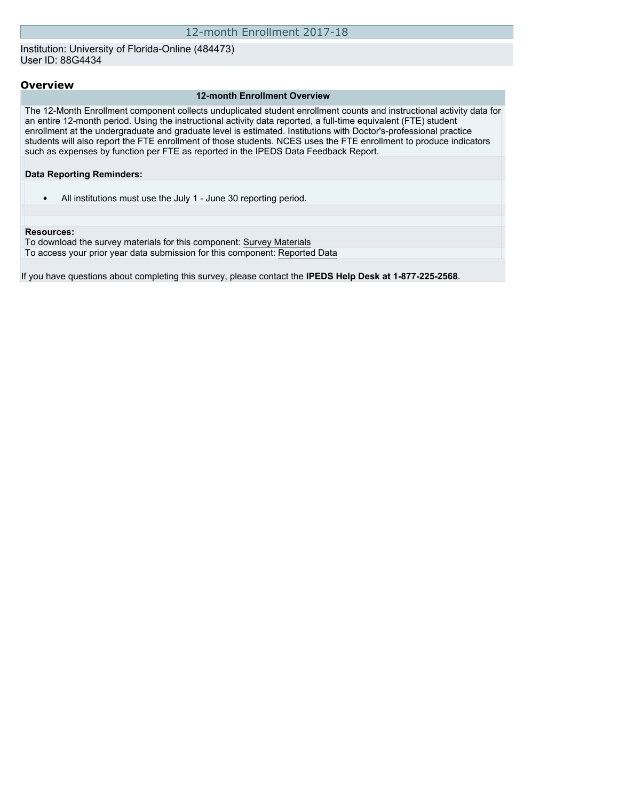### Institution: University of Florida-Online (484473) User ID: 88G4434

### **Overview**

### **12-month Enrollment Overview**

The 12-Month Enrollment component collects unduplicated student enrollment counts and instructional activity data for an entire 12-month period. Using the instructional activity data reported, a full-time equivalent (FTE) student enrollment at the undergraduate and graduate level is estimated. Institutions with Doctor's-professional practice students will also report the FTE enrollment of those students. NCES uses the FTE enrollment to produce indicators such as expenses by function per FTE as reported in the IPEDS Data Feedback Report.

### **Data Reporting Reminders:**

• All institutions must use the July 1 - June 30 reporting period.

#### **Resources:**

To download the survey materials for this component: [Survey Materials](https://surveys.nces.ed.gov/ipeds/VisIndex.aspx) To access your prior year data submission for this component: [Reported Data](http://192.168.102.153/IPEDS/PriorYearDataRedirect.aspx?survey_id=9)

If you have questions about completing this survey, please contact the **IPEDS Help Desk at 1-877-225-2568**.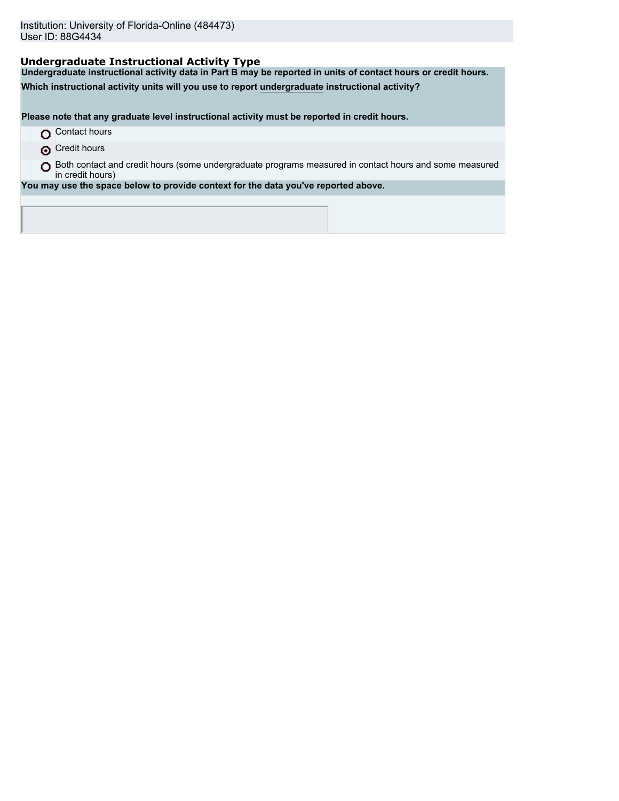# **Undergraduate Instructional Activity Type**

**Undergraduate instructional activity data in Part B may be reported in units of contact hours or credit hours.**

**Which instructional activity units will you use to report undergraduate instructional activity?**

**Please note that any graduate level instructional activity must be reported in credit hours.**

- **O** Contact hours
- **O** Credit hours
- O Both contact and credit hours (some undergraduate programs measured in contact hours and some measured in credit hours)

**You may use the space below to provide context for the data you've reported above.**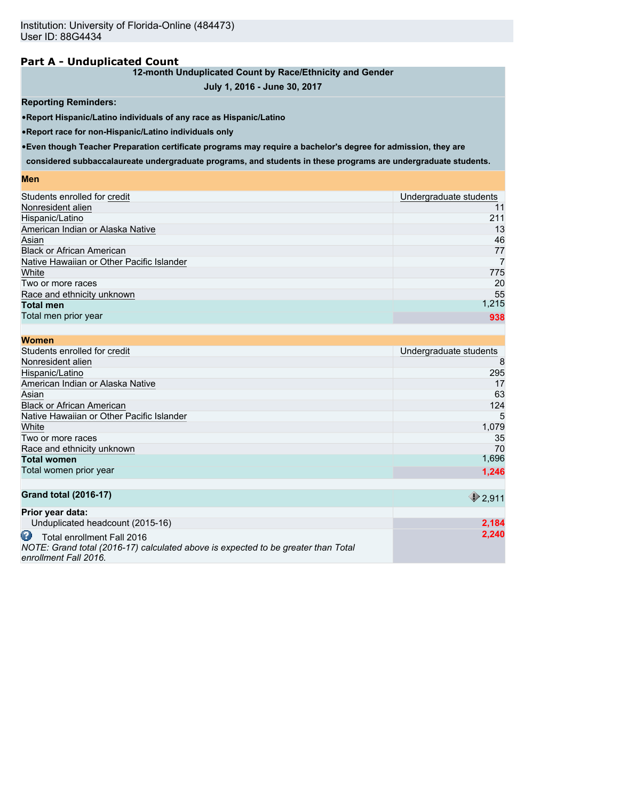# **Part A - Unduplicated Count**

## **12-month Unduplicated Count by Race/Ethnicity and Gender**

# **July 1, 2016 - June 30, 2017**

### **Reporting Reminders:**

•**Report Hispanic/Latino individuals of any race as Hispanic/Latino**

•**Report race for non-Hispanic/Latino individuals only**

•**Even though Teacher Preparation certificate programs may require a bachelor's degree for admission, they are**

**considered subbaccalaureate undergraduate programs, and students in these programs are undergraduate students.**

### **Men**

| Students enrolled for credit              | Undergraduate students |
|-------------------------------------------|------------------------|
| Nonresident alien                         | 11                     |
| Hispanic/Latino                           | 211                    |
| American Indian or Alaska Native          | 13                     |
| Asian                                     | 46                     |
| <b>Black or African American</b>          | 77                     |
| Native Hawaiian or Other Pacific Islander |                        |
| White                                     | 775                    |
| Two or more races                         | 20                     |
| Race and ethnicity unknown                | 55                     |
| <b>Total men</b>                          | 1,215                  |
| Total men prior year                      | 938                    |
|                                           |                        |

| <b>Women</b>                                                                                                                                  |                        |
|-----------------------------------------------------------------------------------------------------------------------------------------------|------------------------|
| Students enrolled for credit                                                                                                                  | Undergraduate students |
| Nonresident alien                                                                                                                             | 8                      |
| Hispanic/Latino                                                                                                                               | 295                    |
| American Indian or Alaska Native                                                                                                              | 17                     |
| Asian                                                                                                                                         | 63                     |
| <b>Black or African American</b>                                                                                                              | 124                    |
| Native Hawaiian or Other Pacific Islander                                                                                                     | 5                      |
| White                                                                                                                                         | 1,079                  |
| Two or more races                                                                                                                             | 35                     |
| Race and ethnicity unknown                                                                                                                    | 70                     |
| <b>Total women</b>                                                                                                                            | 1,696                  |
| Total women prior year                                                                                                                        | 1,246                  |
|                                                                                                                                               |                        |
| <b>Grand total (2016-17)</b>                                                                                                                  | 2,911                  |
| Prior year data:                                                                                                                              |                        |
| Unduplicated headcount (2015-16)                                                                                                              | 2,184                  |
| œ<br>Total enrollment Fall 2016<br>NOTE: Grand total (2016-17) calculated above is expected to be greater than Total<br>enrollment Fall 2016. | 2,240                  |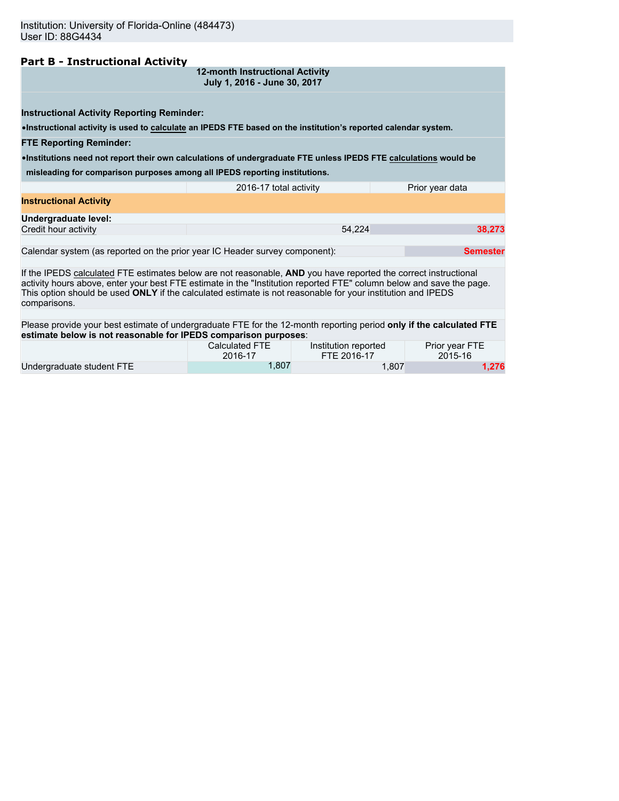# **Part B - Instructional Activity**

| 12-month Instructional Activity |  |
|---------------------------------|--|
| July 1, 2016 - June 30, 2017    |  |

**Instructional Activity Reporting Reminder:**

•**Instructional activity is used to calculate an IPEDS FTE based on the institution's reported calendar system.**

### **FTE Reporting Reminder:**

•**Institutions need not report their own calculations of undergraduate FTE unless IPEDS FTE calculations would be**

**misleading for comparison purposes among all IPEDS reporting institutions.**

|                               | 2016-17 total activity | Prior year data |
|-------------------------------|------------------------|-----------------|
| <b>Instructional Activity</b> |                        |                 |
| Undergraduate level:          |                        |                 |
| Credit hour activity          | 54.224                 | 38,273          |
|                               |                        |                 |

Calendar system (as reported on the prior year IC Header survey component): **Semester Semester** 

If the IPEDS calculated FTE estimates below are not reasonable, **AND** you have reported the correct instructional activity hours above, enter your best FTE estimate in the "Institution reported FTE" column below and save the page. This option should be used **ONLY** if the calculated estimate is not reasonable for your institution and IPEDS comparisons.

Please provide your best estimate of undergraduate FTE for the 12-month reporting period **only if the calculated FTE estimate below is not reasonable for IPEDS comparison purposes**:

|                           | Calculated FTE | Institution reported | Prior year FTE |
|---------------------------|----------------|----------------------|----------------|
|                           | 2016-17        | FTE 2016-17          | 2015-16        |
| Undergraduate student FTE | .807           | 1.807                | 1.276          |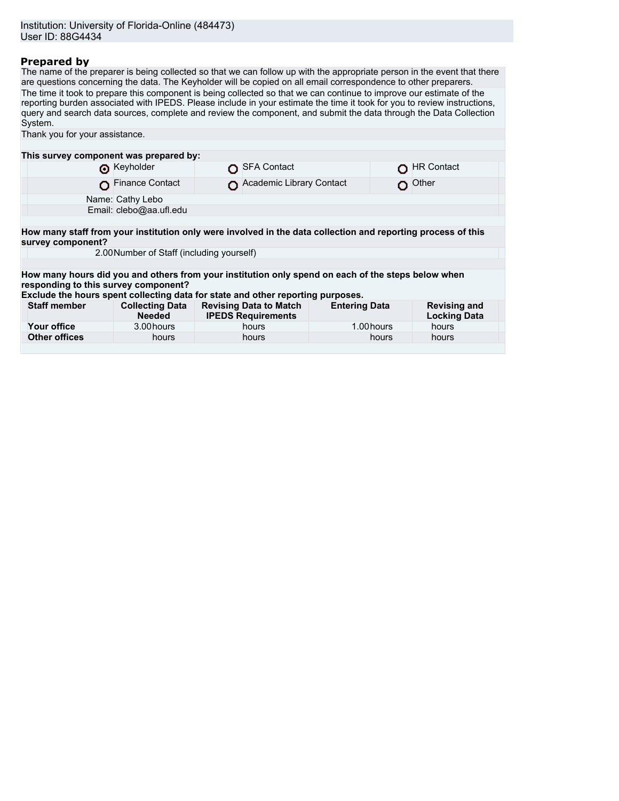# **Prepared by**

The name of the preparer is being collected so that we can follow up with the appropriate person in the event that there are questions concerning the data. The Keyholder will be copied on all email correspondence to other preparers. The time it took to prepare this component is being collected so that we can continue to improve our estimate of the reporting burden associated with IPEDS. Please include in your estimate the time it took for you to review instructions, query and search data sources, complete and review the component, and submit the data through the Data Collection System. Thank you for your assistance. **This survey component was prepared by:**<br> **C** Keyholder O SFA Contact CHR Contact CHR Contact O Finance Contact **O** Academic Library Contact **O** Other

|                                      | Name: Cathy Lebo                                                                                                  |
|--------------------------------------|-------------------------------------------------------------------------------------------------------------------|
|                                      | Email: clebo@aa.ufl.edu                                                                                           |
|                                      |                                                                                                                   |
|                                      | How many staff from your institution only were involved in the data collection and reporting process of this      |
| survey component?                    |                                                                                                                   |
|                                      | 2.00 Number of Staff (including yourself)                                                                         |
|                                      |                                                                                                                   |
|                                      | How many hours did you and others from your institution only spend on each of the steps below when                |
| responding to this survey component? |                                                                                                                   |
|                                      | ■ India dia 41.00 ft of the control of the College of the College of the College of the College of the College of |

**Exclude the hours spent collecting data for state and other reporting purposes.**

| <b>Staff member</b> | <b>Collecting Data</b><br><b>Needed</b> | <b>Revising Data to Match</b><br><b>IPEDS Requirements</b> | <b>Entering Data</b> | <b>Revising and</b><br><b>Locking Data</b> |
|---------------------|-----------------------------------------|------------------------------------------------------------|----------------------|--------------------------------------------|
| Your office         | 3.00 hours                              | hours                                                      | 1.00 hours           | hours                                      |
| Other offices       | hours                                   | hours                                                      | hours                | hours                                      |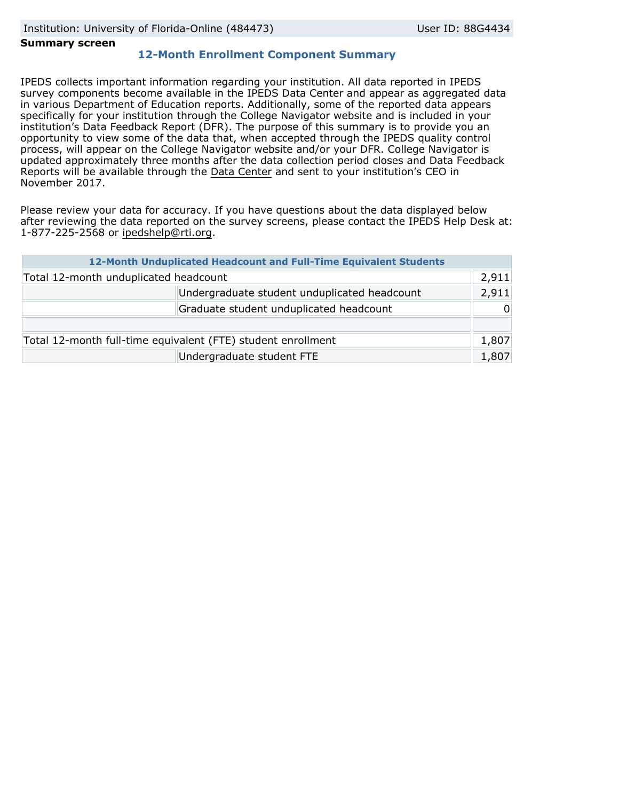### **Summary screen**

# **12-Month Enrollment Component Summary**

IPEDS collects important information regarding your institution. All data reported in IPEDS survey components become available in the IPEDS Data Center and appear as aggregated data in various Department of Education reports. Additionally, some of the reported data appears specifically for your institution through the College Navigator website and is included in your institution's Data Feedback Report (DFR). The purpose of this summary is to provide you an opportunity to view some of the data that, when accepted through the IPEDS quality control process, will appear on the College Navigator website and/or your DFR. College Navigator is updated approximately three months after the data collection period closes and Data Feedback Reports will be available through the [Data Center](http://nces.ed.gov/ipeds/datacenter/) and sent to your institution's CEO in November 2017.

Please review your data for accuracy. If you have questions about the data displayed below after reviewing the data reported on the survey screens, please contact the IPEDS Help Desk at: 1-877-225-2568 or ipedshelp@rti.org.

| 12-Month Unduplicated Headcount and Full-Time Equivalent Students |                                              |          |  |
|-------------------------------------------------------------------|----------------------------------------------|----------|--|
| Total 12-month unduplicated headcount                             |                                              | 2,911    |  |
|                                                                   | Undergraduate student unduplicated headcount | 2,911    |  |
|                                                                   | Graduate student unduplicated headcount      | $\Omega$ |  |
|                                                                   |                                              |          |  |
| Total 12-month full-time equivalent (FTE) student enrollment      |                                              | 1,807    |  |
|                                                                   | Undergraduate student FTE                    | 1,807    |  |